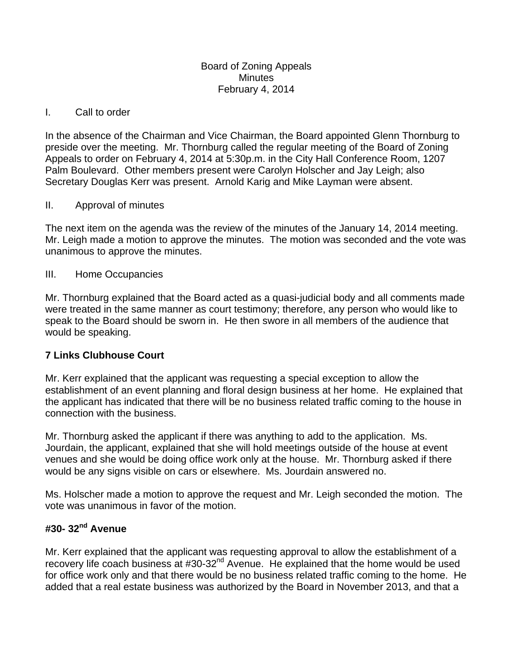#### Board of Zoning Appeals **Minutes** February 4, 2014

#### I. Call to order

In the absence of the Chairman and Vice Chairman, the Board appointed Glenn Thornburg to preside over the meeting. Mr. Thornburg called the regular meeting of the Board of Zoning Appeals to order on February 4, 2014 at 5:30p.m. in the City Hall Conference Room, 1207 Palm Boulevard. Other members present were Carolyn Holscher and Jay Leigh; also Secretary Douglas Kerr was present. Arnold Karig and Mike Layman were absent.

#### II. Approval of minutes

The next item on the agenda was the review of the minutes of the January 14, 2014 meeting. Mr. Leigh made a motion to approve the minutes. The motion was seconded and the vote was unanimous to approve the minutes.

## III. Home Occupancies

Mr. Thornburg explained that the Board acted as a quasi-judicial body and all comments made were treated in the same manner as court testimony; therefore, any person who would like to speak to the Board should be sworn in. He then swore in all members of the audience that would be speaking.

## **7 Links Clubhouse Court**

Mr. Kerr explained that the applicant was requesting a special exception to allow the establishment of an event planning and floral design business at her home. He explained that the applicant has indicated that there will be no business related traffic coming to the house in connection with the business.

Mr. Thornburg asked the applicant if there was anything to add to the application. Ms. Jourdain, the applicant, explained that she will hold meetings outside of the house at event venues and she would be doing office work only at the house. Mr. Thornburg asked if there would be any signs visible on cars or elsewhere. Ms. Jourdain answered no.

Ms. Holscher made a motion to approve the request and Mr. Leigh seconded the motion. The vote was unanimous in favor of the motion.

# **#30- 32nd Avenue**

Mr. Kerr explained that the applicant was requesting approval to allow the establishment of a recovery life coach business at #30-32<sup>nd</sup> Avenue. He explained that the home would be used for office work only and that there would be no business related traffic coming to the home. He added that a real estate business was authorized by the Board in November 2013, and that a